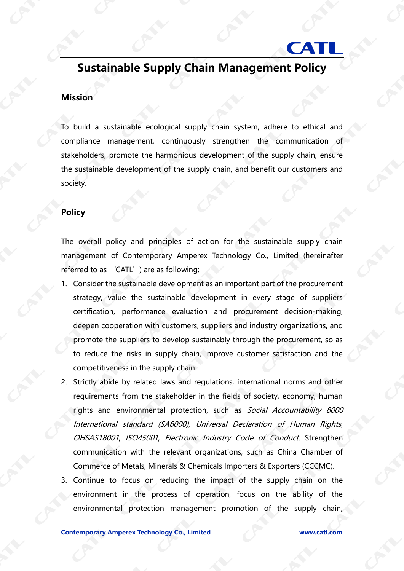## **Sustainable Supply Chain Management Policy**

**CAT** 

## **Mission**

To build a sustainable ecological supply chain system, adhere to ethical and compliance management, continuously strengthen the communication of stakeholders, promote the harmonious development of the supply chain, ensure the sustainable development of the supply chain, and benefit our customers and society.

## **Policy**

The overall policy and principles of action for the sustainable supply chain management of Contemporary Amperex Technology Co., Limited (hereinafter referred to as 'CATL') are as following:

- 1. Consider the sustainable development as an important part of the procurement strategy, value the sustainable development in every stage of suppliers certification, performance evaluation and procurement decision-making, deepen cooperation with customers, suppliers and industry organizations, and promote the suppliers to develop sustainably through the procurement, so as to reduce the risks in supply chain, improve customer satisfaction and the competitiveness in the supply chain.
- 2. Strictly abide by related laws and regulations, international norms and other requirements from the stakeholder in the fields of society, economy, human rights and environmental protection, such as Social Accountability 8000 International standard (SA8000), Universal Declaration of Human Rights, OHSAS18001, ISO45001, Electronic Industry Code of Conduct. Strengthen communication with the relevant organizations, such as China Chamber of Commerce of Metals, Minerals & Chemicals Importers & Exporters (CCCMC).
- 3. Continue to focus on reducing the impact of the supply chain on the environment in the process of operation, focus on the ability of the environmental protection management promotion of the supply chain,